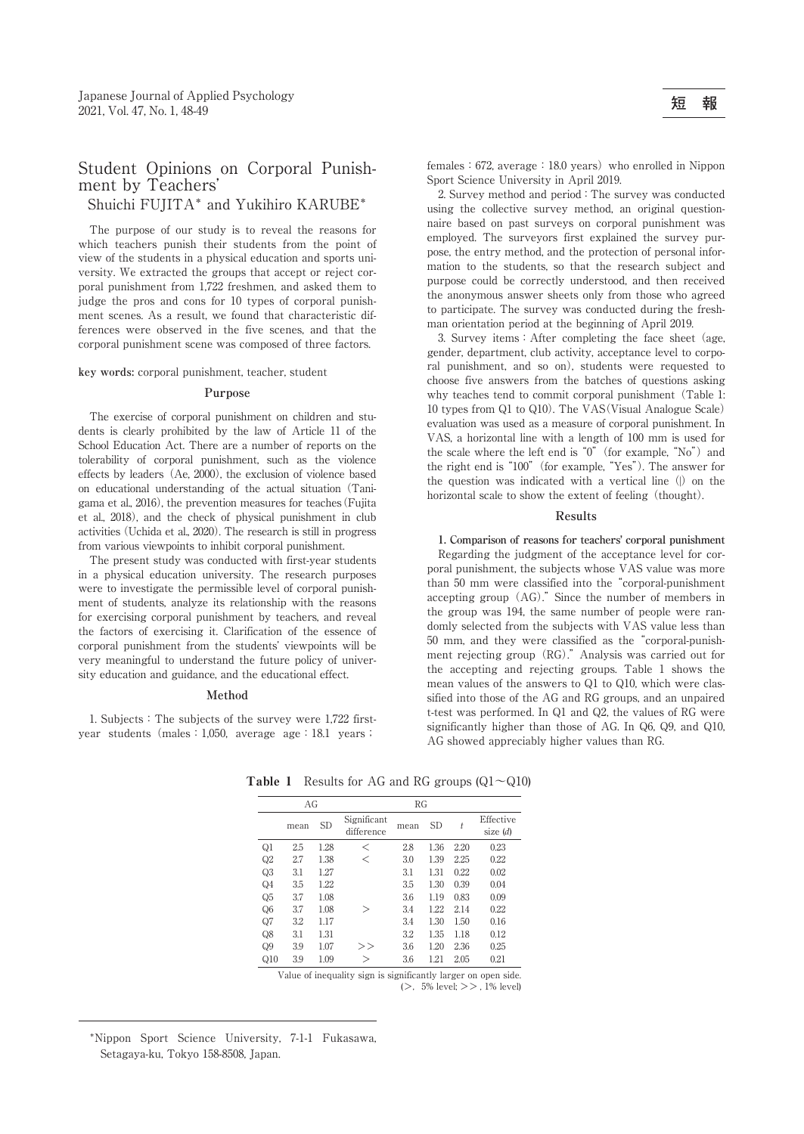# Student Opinions on Corporal Punishment by Teachers'

Shuichi FUJITA\* and Yukihiro KARUBE\*

The purpose of our study is to reveal the reasons for which teachers punish their students from the point of view of the students in a physical education and sports university. We extracted the groups that accept or reject corporal punishment from 1,722 freshmen, and asked them to judge the pros and cons for 10 types of corporal punishment scenes. As a result, we found that characteristic differences were observed in the five scenes, and that the corporal punishment scene was composed of three factors.

**key words:** corporal punishment, teacher, student

### **Purpose**

The exercise of corporal punishment on children and students is clearly prohibited by the law of Article 11 of the School Education Act. There are a number of reports on the tolerability of corporal punishment, such as the violence effects by leaders (Ae, 2000), the exclusion of violence based on educational understanding of the actual situation(Tanigama et al., 2016), the prevention measures for teaches(Fujita et al., 2018), and the check of physical punishment in club activities(Uchida et al., 2020). The research is still in progress from various viewpoints to inhibit corporal punishment.

The present study was conducted with first-year students in a physical education university. The research purposes were to investigate the permissible level of corporal punishment of students, analyze its relationship with the reasons for exercising corporal punishment by teachers, and reveal the factors of exercising it. Clarification of the essence of corporal punishment from the students' viewpoints will be very meaningful to understand the future policy of university education and guidance, and the educational effect.

#### **Method**

1. Subjects:The subjects of the survey were 1,722 firstyear students (males: 1,050, average age: 18.1 years;

females:  $672$ , average: 18.0 years) who enrolled in Nippon Sport Science University in April 2019.

2. Survey method and period:The survey was conducted using the collective survey method, an original questionnaire based on past surveys on corporal punishment was employed. The surveyors first explained the survey purpose, the entry method, and the protection of personal information to the students, so that the research subject and purpose could be correctly understood, and then received the anonymous answer sheets only from those who agreed to participate. The survey was conducted during the freshman orientation period at the beginning of April 2019.

3. Survey items: After completing the face sheet (age, gender, department, club activity, acceptance level to corporal punishment, and so on), students were requested to choose five answers from the batches of questions asking why teaches tend to commit corporal punishment (Table 1: 10 types from Q1 to Q10). The VAS(Visual Analogue Scale) evaluation was used as a measure of corporal punishment. In VAS, a horizontal line with a length of 100 mm is used for the scale where the left end is " $0$ " (for example, "No") and the right end is"100"(for example,"Yes"). The answer for the question was indicated with a vertical line $(|)$  on the horizontal scale to show the extent of feeling (thought).

#### **Results**

**1. Comparison of reasons for teachers' corporal punishment** Regarding the judgment of the acceptance level for corporal punishment, the subjects whose VAS value was more than 50 mm were classified into the"corporal-punishment accepting group (AG)." Since the number of members in the group was 194, the same number of people were randomly selected from the subjects with VAS value less than 50 mm, and they were classified as the"corporal-punishment rejecting group (RG)." Analysis was carried out for the accepting and rejecting groups. Table 1 shows the mean values of the answers to Q1 to Q10, which were classified into those of the AG and RG groups, and an unpaired t-test was performed. In Q1 and Q2, the values of RG were significantly higher than those of AG. In Q6, Q9, and Q10, AG showed appreciably higher values than RG.  $\overline{A}$  AG showed appreciably higher values than RG.

|                | AG   |           | <b>RG</b>                 |      |           |      |                       |
|----------------|------|-----------|---------------------------|------|-----------|------|-----------------------|
|                | mean | <b>SD</b> | Significant<br>difference | mean | <b>SD</b> | t    | Effective<br>size (d) |
| Q1             | 2.5  | 1.28      | ✓                         | 2.8  | 1.36      | 2.20 | 0.23                  |
| $_{\rm Q2}$    | 2.7  | 1.38      | ✓                         | 3.0  | 1.39      | 2.25 | 0.22                  |
| Q3             | 3.1  | 1.27      |                           | 3.1  | 1.31      | 0.22 | 0.02                  |
| Q <sub>4</sub> | 3.5  | 1.22      |                           | 3.5  | 1.30      | 0.39 | 0.04                  |
| Q5             | 3.7  | 1.08      |                           | 3.6  | 1.19      | 0.83 | 0.09                  |
| Q6             | 3.7  | 1.08      | >                         | 3.4  | 1.22      | 2.14 | 0.22                  |
| Q7             | 3.2  | 1.17      |                           | 3.4  | 1.30      | 1.50 | 0.16                  |
| Q8             | 3.1  | 1.31      |                           | 3.2  | 1.35      | 1.18 | 0.12                  |
| Q9             | 3.9  | 1.07      | >                         | 3.6  | 1.20      | 2.36 | 0.25                  |
| Q10            | 3.9  | 1.09      | >                         | 3.6  | 1.21      | 2.05 | 0.21                  |

**Table 1** Results for AG and RG groups  $(Q1 \sim Q10)$ 

Value of inequality sign is significantly larger on open side. (>,5% level; >> , 1% level)

\*Nippon Sport Science University, 7-1-1 Fukasawa, Setagaya-ku, Tokyo 158-8508, Japan.